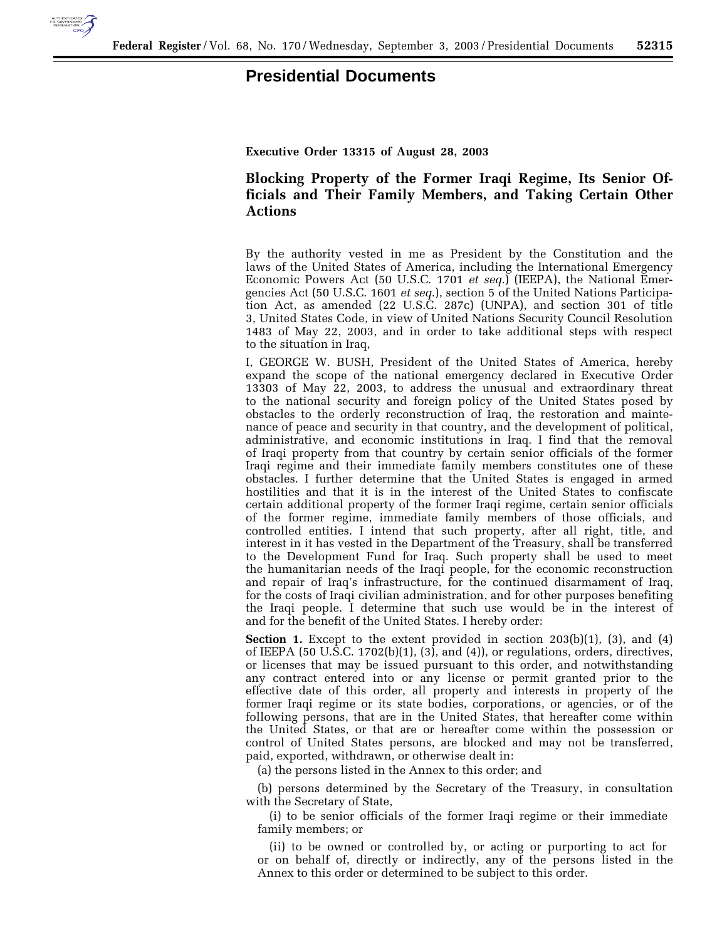

## **Presidential Documents**

**Executive Order 13315 of August 28, 2003**

## **Blocking Property of the Former Iraqi Regime, Its Senior Officials and Their Family Members, and Taking Certain Other Actions**

By the authority vested in me as President by the Constitution and the laws of the United States of America, including the International Emergency Economic Powers Act (50 U.S.C. 1701 *et seq*.) (IEEPA), the National Emergencies Act (50 U.S.C. 1601 *et seq*.), section 5 of the United Nations Participation Act, as amended (22 U.S.C. 287c) (UNPA), and section 301 of title 3, United States Code, in view of United Nations Security Council Resolution 1483 of May 22, 2003, and in order to take additional steps with respect to the situation in Iraq,

I, GEORGE W. BUSH, President of the United States of America, hereby expand the scope of the national emergency declared in Executive Order 13303 of May 22, 2003, to address the unusual and extraordinary threat to the national security and foreign policy of the United States posed by obstacles to the orderly reconstruction of Iraq, the restoration and maintenance of peace and security in that country, and the development of political, administrative, and economic institutions in Iraq. I find that the removal of Iraqi property from that country by certain senior officials of the former Iraqi regime and their immediate family members constitutes one of these obstacles. I further determine that the United States is engaged in armed hostilities and that it is in the interest of the United States to confiscate certain additional property of the former Iraqi regime, certain senior officials of the former regime, immediate family members of those officials, and controlled entities. I intend that such property, after all right, title, and interest in it has vested in the Department of the Treasury, shall be transferred to the Development Fund for Iraq. Such property shall be used to meet the humanitarian needs of the Iraqi people, for the economic reconstruction and repair of Iraq's infrastructure, for the continued disarmament of Iraq, for the costs of Iraqi civilian administration, and for other purposes benefiting the Iraqi people. I determine that such use would be in the interest of and for the benefit of the United States. I hereby order:

**Section 1.** Except to the extent provided in section 203(b)(1), (3), and (4) of IEEPA (50 U.S.C. 1702(b)(1), (3), and (4)), or regulations, orders, directives, or licenses that may be issued pursuant to this order, and notwithstanding any contract entered into or any license or permit granted prior to the effective date of this order, all property and interests in property of the former Iraqi regime or its state bodies, corporations, or agencies, or of the following persons, that are in the United States, that hereafter come within the United States, or that are or hereafter come within the possession or control of United States persons, are blocked and may not be transferred, paid, exported, withdrawn, or otherwise dealt in:

(a) the persons listed in the Annex to this order; and

(b) persons determined by the Secretary of the Treasury, in consultation with the Secretary of State,

(i) to be senior officials of the former Iraqi regime or their immediate family members; or

(ii) to be owned or controlled by, or acting or purporting to act for or on behalf of, directly or indirectly, any of the persons listed in the Annex to this order or determined to be subject to this order.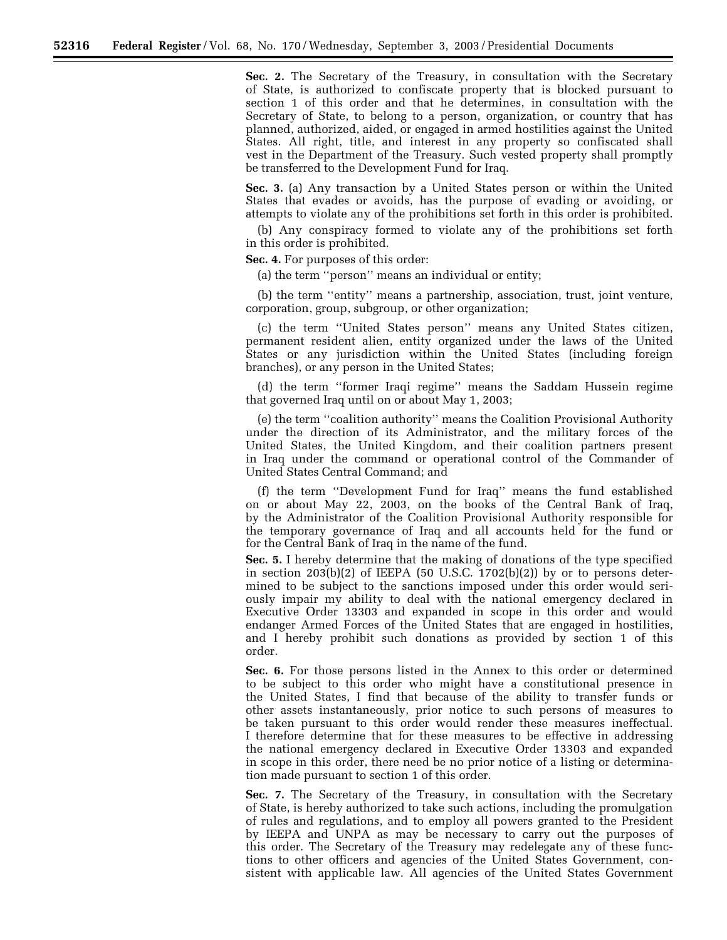**Sec. 2.** The Secretary of the Treasury, in consultation with the Secretary of State, is authorized to confiscate property that is blocked pursuant to section 1 of this order and that he determines, in consultation with the Secretary of State, to belong to a person, organization, or country that has planned, authorized, aided, or engaged in armed hostilities against the United States. All right, title, and interest in any property so confiscated shall vest in the Department of the Treasury. Such vested property shall promptly be transferred to the Development Fund for Iraq.

**Sec. 3.** (a) Any transaction by a United States person or within the United States that evades or avoids, has the purpose of evading or avoiding, or attempts to violate any of the prohibitions set forth in this order is prohibited.

(b) Any conspiracy formed to violate any of the prohibitions set forth in this order is prohibited.

**Sec. 4.** For purposes of this order:

(a) the term ''person'' means an individual or entity;

(b) the term ''entity'' means a partnership, association, trust, joint venture, corporation, group, subgroup, or other organization;

(c) the term ''United States person'' means any United States citizen, permanent resident alien, entity organized under the laws of the United States or any jurisdiction within the United States (including foreign branches), or any person in the United States;

(d) the term ''former Iraqi regime'' means the Saddam Hussein regime that governed Iraq until on or about May 1, 2003;

(e) the term ''coalition authority'' means the Coalition Provisional Authority under the direction of its Administrator, and the military forces of the United States, the United Kingdom, and their coalition partners present in Iraq under the command or operational control of the Commander of United States Central Command; and

(f) the term ''Development Fund for Iraq'' means the fund established on or about May 22, 2003, on the books of the Central Bank of Iraq, by the Administrator of the Coalition Provisional Authority responsible for the temporary governance of Iraq and all accounts held for the fund or for the Central Bank of Iraq in the name of the fund.

**Sec. 5.** I hereby determine that the making of donations of the type specified in section 203(b)(2) of IEEPA (50 U.S.C. 1702(b)(2)) by or to persons determined to be subject to the sanctions imposed under this order would seriously impair my ability to deal with the national emergency declared in Executive Order 13303 and expanded in scope in this order and would endanger Armed Forces of the United States that are engaged in hostilities, and I hereby prohibit such donations as provided by section 1 of this order.

**Sec. 6.** For those persons listed in the Annex to this order or determined to be subject to this order who might have a constitutional presence in the United States, I find that because of the ability to transfer funds or other assets instantaneously, prior notice to such persons of measures to be taken pursuant to this order would render these measures ineffectual. I therefore determine that for these measures to be effective in addressing the national emergency declared in Executive Order 13303 and expanded in scope in this order, there need be no prior notice of a listing or determination made pursuant to section 1 of this order.

**Sec. 7.** The Secretary of the Treasury, in consultation with the Secretary of State, is hereby authorized to take such actions, including the promulgation of rules and regulations, and to employ all powers granted to the President by IEEPA and UNPA as may be necessary to carry out the purposes of this order. The Secretary of the Treasury may redelegate any of these functions to other officers and agencies of the United States Government, consistent with applicable law. All agencies of the United States Government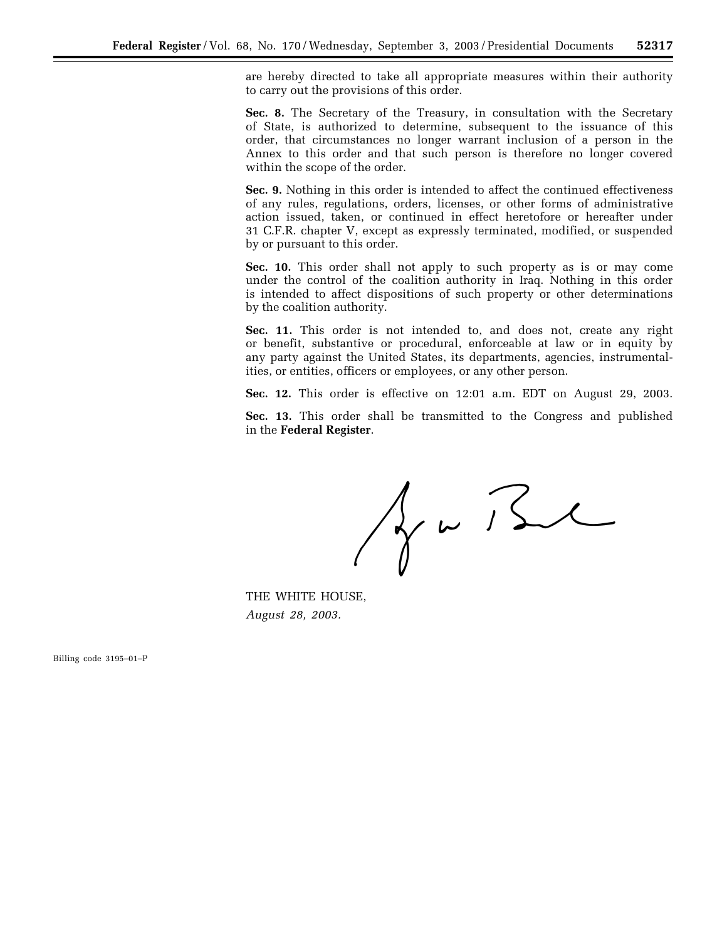are hereby directed to take all appropriate measures within their authority to carry out the provisions of this order.

**Sec. 8.** The Secretary of the Treasury, in consultation with the Secretary of State, is authorized to determine, subsequent to the issuance of this order, that circumstances no longer warrant inclusion of a person in the Annex to this order and that such person is therefore no longer covered within the scope of the order.

**Sec. 9.** Nothing in this order is intended to affect the continued effectiveness of any rules, regulations, orders, licenses, or other forms of administrative action issued, taken, or continued in effect heretofore or hereafter under 31 C.F.R. chapter V, except as expressly terminated, modified, or suspended by or pursuant to this order.

Sec. 10. This order shall not apply to such property as is or may come under the control of the coalition authority in Iraq. Nothing in this order is intended to affect dispositions of such property or other determinations by the coalition authority.

**Sec. 11.** This order is not intended to, and does not, create any right or benefit, substantive or procedural, enforceable at law or in equity by any party against the United States, its departments, agencies, instrumentalities, or entities, officers or employees, or any other person.

**Sec. 12.** This order is effective on 12:01 a.m. EDT on August 29, 2003.

**Sec. 13.** This order shall be transmitted to the Congress and published in the **Federal Register**

 $A = B$ 

THE WHITE HOUSE, *August 28, 2003.* 

Billing code 3195–01–P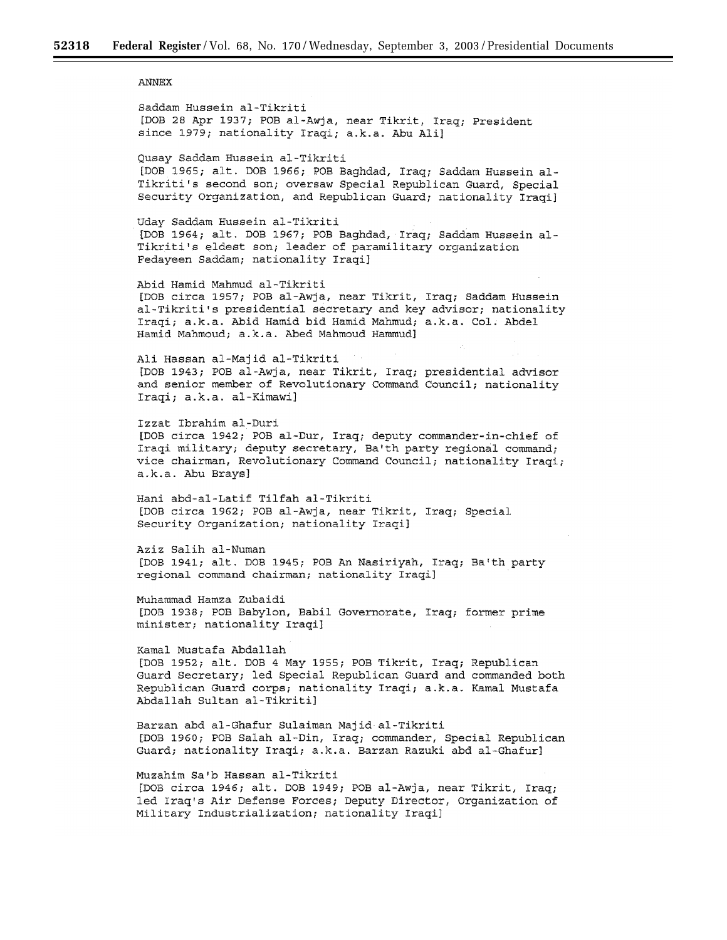**ANNEX** 

Saddam Hussein al-Tikriti [DOB 28 Apr 1937; POB al-Awja, near Tikrit, Iraq; President since 1979; nationality Iraqi; a.k.a. Abu Ali] Qusay Saddam Hussein al-Tikriti [DOB 1965; alt. DOB 1966; POB Baghdad, Iraq; Saddam Hussein al-Tikriti's second son; oversaw Special Republican Guard, Special Security Organization, and Republican Guard; nationality Iraqi] Uday Saddam Hussein al-Tikriti [DOB 1964; alt. DOB 1967; POB Baghdad, Iraq; Saddam Hussein al-Tikriti's eldest son; leader of paramilitary organization Fedayeen Saddam; nationality Iraqi] Abid Hamid Mahmud al-Tikriti [DOB circa 1957; POB al-Awja, near Tikrit, Iraq; Saddam Hussein al-Tikriti's presidential secretary and key advisor; nationality Iraqi; a.k.a. Abid Hamid bid Hamid Mahmud; a.k.a. Col. Abdel Hamid Mahmoud; a.k.a. Abed Mahmoud Hammud] Ali Hassan al-Majid al-Tikriti [DOB 1943; POB al-Awja, near Tikrit, Iraq; presidential advisor and senior member of Revolutionary Command Council; nationality Iraqi; a.k.a. al-Kimawi] Izzat Ibrahim al-Duri [DOB circa 1942; POB al-Dur, Iraq; deputy commander-in-chief of Iraqi military; deputy secretary, Ba'th party regional command; vice chairman, Revolutionary Command Council; nationality Iragi; a.k.a. Abu Brays] Hani abd-al-Latif Tilfah al-Tikriti [DOB circa 1962; POB al-Awja, near Tikrit, Iraq; Special Security Organization; nationality Iraqi] Aziz Salih al-Numan [DOB 1941; alt. DOB 1945; POB An Nasiriyah, Iraq; Ba'th party regional command chairman; nationality Iraqi] Muhammad Hamza Zubaidi [DOB 1938; POB Babylon, Babil Governorate, Iraq; former prime minister; nationality Iraqi] Kamal Mustafa Abdallah [DOB 1952; alt. DOB 4 May 1955; POB Tikrit, Iraq; Republican Guard Secretary; led Special Republican Guard and commanded both Republican Guard corps; nationality Iraqi; a.k.a. Kamal Mustafa Abdallah Sultan al-Tikriti] Barzan abd al-Ghafur Sulaiman Majid al-Tikriti [DOB 1960; POB Salah al-Din, Iraq; commander, Special Republican Guard; nationality Iraqi; a.k.a. Barzan Razuki abd al-Ghafur] Muzahim Sa'b Hassan al-Tikriti [DOB circa 1946; alt. DOB 1949; POB al-Awja, near Tikrit, Iraq; led Iraq's Air Defense Forces; Deputy Director, Organization of

Military Industrialization; nationality Iraqi]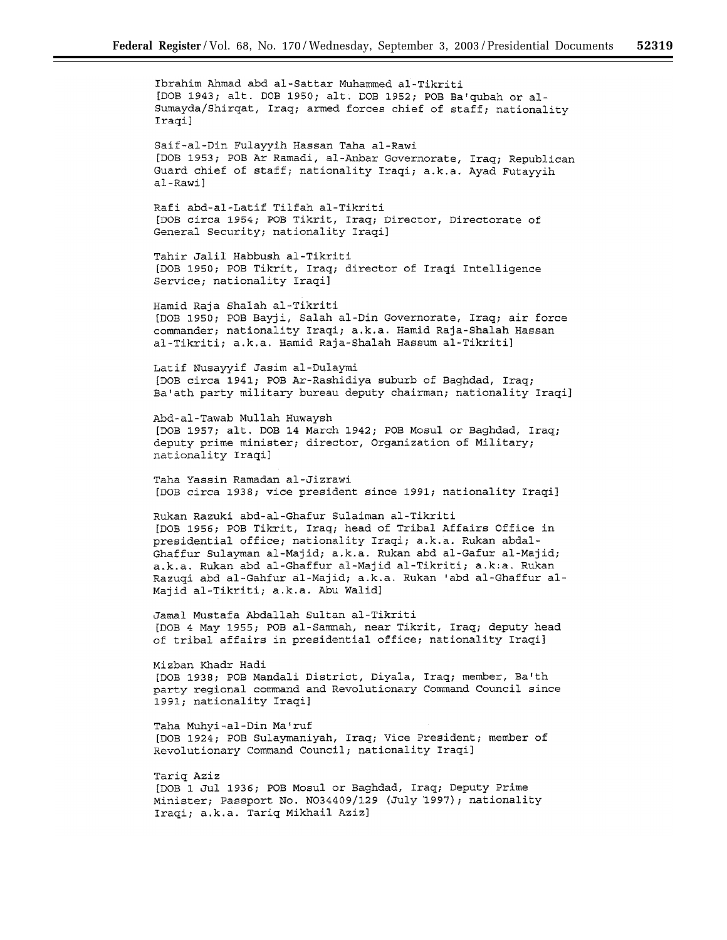Ibrahim Ahmad abd al-Sattar Muhammed al-Tikriti [DOB 1943; alt. DOB 1950; alt. DOB 1952; POB Ba'qubah or al-Sumayda/Shirqat, Iraq; armed forces chief of staff; nationality Iraqi] Saif-al-Din Fulayyih Hassan Taha al-Rawi [DOB 1953; POB Ar Ramadi, al-Anbar Governorate, Iraq; Republican Guard chief of staff; nationality Iraqi; a.k.a. Ayad Futayyih al-Rawi] Rafi abd-al-Latif Tilfah al-Tikriti [DOB circa 1954; POB Tikrit, Iraq; Director, Directorate of General Security; nationality Iraqi] Tahir Jalil Habbush al-Tikriti [DOB 1950; POB Tikrit, Iraq; director of Iraqi Intelligence Service; nationality Iraqi] Hamid Raja Shalah al-Tikriti [DOB 1950; POB Bayji, Salah al-Din Governorate, Iraq; air force commander; nationality Iraqi; a.k.a. Hamid Raja-Shalah Hassan al-Tikriti; a.k.a. Hamid Raja-Shalah Hassum al-Tikriti] Latif Nusayyif Jasim al-Dulaymi [DOB circa 1941; POB Ar-Rashidiya suburb of Baghdad, Iraq; Ba'ath party military bureau deputy chairman; nationality Iraqi] Abd-al-Tawab Mullah Huwaysh [DOB 1957; alt. DOB 14 March 1942; POB Mosul or Baghdad, Iraq; deputy prime minister; director, Organization of Military; nationality Iraqi] Taha Yassin Ramadan al-Jizrawi [DOB circa 1938; vice president since 1991; nationality Iraqi] Rukan Razuki abd-al-Ghafur Sulaiman al-Tikriti [DOB 1956; POB Tikrit, Iraq; head of Tribal Affairs Office in presidential office; nationality Iraqi; a.k.a. Rukan abdal-Ghaffur Sulayman al-Majid; a.k.a. Rukan abd al-Gafur al-Majid; a.k.a. Rukan abd al-Ghaffur al-Majid al-Tikriti; a.k.a. Rukan Razuqi abd al-Gahfur al-Majid; a.k.a. Rukan 'abd al-Ghaffur al-Majid al-Tikriti; a.k.a. Abu Walid] Jamal Mustafa Abdallah Sultan al-Tikriti [DOB 4 May 1955; POB al-Samnah, near Tikrit, Iraq; deputy head of tribal affairs in presidential office; nationality Iraqi] Mizban Khadr Hadi [DOB 1938; POB Mandali District, Diyala, Iraq; member, Ba'th party regional command and Revolutionary Command Council since 1991; nationality Iraqi] Taha Muhyi-al-Din Ma'ruf [DOB 1924; POB Sulaymaniyah, Iraq; Vice President; member of Revolutionary Command Council; nationality Iraqi] Tariq Aziz [DOB 1 Jul 1936; POB Mosul or Baghdad, Iraq; Deputy Prime

Minister; Passport No. N034409/129 (July 1997); nationality Iraqi; a.k.a. Tariq Mikhail Aziz]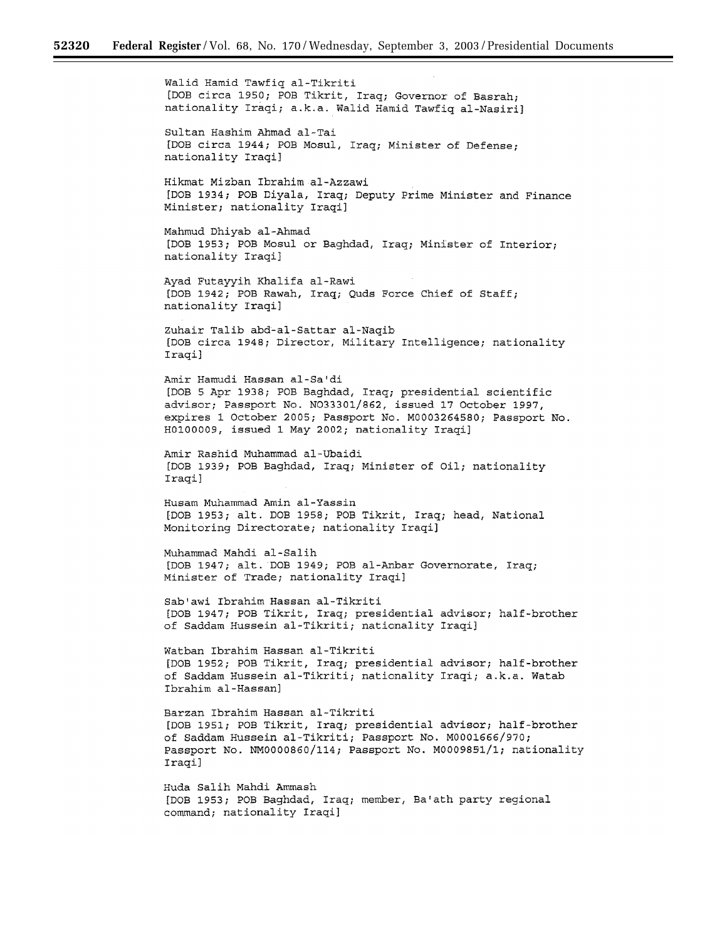Walid Hamid Tawfiq al-Tikriti [DOB circa 1950; POB Tikrit, Iraq; Governor of Basrah; nationality Iraqi; a.k.a. Walid Hamid Tawfiq al-Nasiri] Sultan Hashim Ahmad al-Tai [DOB circa 1944; POB Mosul, Iraq; Minister of Defense; nationality Iraqi] Hikmat Mizban Ibrahim al-Azzawi [DOB 1934; POB Diyala, Iraq; Deputy Prime Minister and Finance Minister; nationality Iraqi] Mahmud Dhiyab al-Ahmad [DOB 1953; POB Mosul or Baghdad, Iraq; Minister of Interior; nationality Iraqi] Ayad Futayyih Khalifa al-Rawi [DOB 1942; POB Rawah, Iraq; Quds Force Chief of Staff; nationality Iraqi] Zuhair Talib abd-al-Sattar al-Naqib [DOB circa 1948; Director, Military Intelligence; nationality Iraqi] Amir Hamudi Hassan al-Sa'di [DOB 5 Apr 1938; POB Baghdad, Iraq; presidential scientific advisor; Passport No. N033301/862, issued 17 October 1997, expires 1 October 2005; Passport No. M0003264580; Passport No. H0100009, issued 1 May 2002; nationality Iraqi] Amir Rashid Muhammad al-Ubaidi [DOB 1939; POB Baghdad, Iraq; Minister of Oil; nationality Iraqi] Husam Muhammad Amin al-Yassin [DOB 1953; alt. DOB 1958; POB Tikrit, Iraq; head, National Monitoring Directorate; nationality Iraqi] Muhammad Mahdi al-Salih [DOB 1947; alt. DOB 1949; POB al-Anbar Governorate, Iraq; Minister of Trade; nationality Iraqi] Sab'awi Ibrahim Hassan al-Tikriti [DOB 1947; POB Tikrit, Iraq; presidential advisor; half-brother of Saddam Hussein al-Tikriti; nationality Iraqi] Watban Ibrahim Hassan al-Tikriti [DOB 1952; POB Tikrit, Iraq; presidential advisor; half-brother of Saddam Hussein al-Tikriti; nationality Iraqi; a.k.a. Watab Ibrahim al-Hassan] Barzan Ibrahim Hassan al-Tikriti [DOB 1951; POB Tikrit, Iraq; presidential advisor; half-brother of Saddam Hussein al-Tikriti; Passport No. M0001666/970; Passport No. NM0000860/114; Passport No. M0009851/1; nationality Iraqi] Huda Salih Mahdi Ammash [DOB 1953; POB Baghdad, Iraq; member, Ba'ath party regional

command; nationality Iraqi]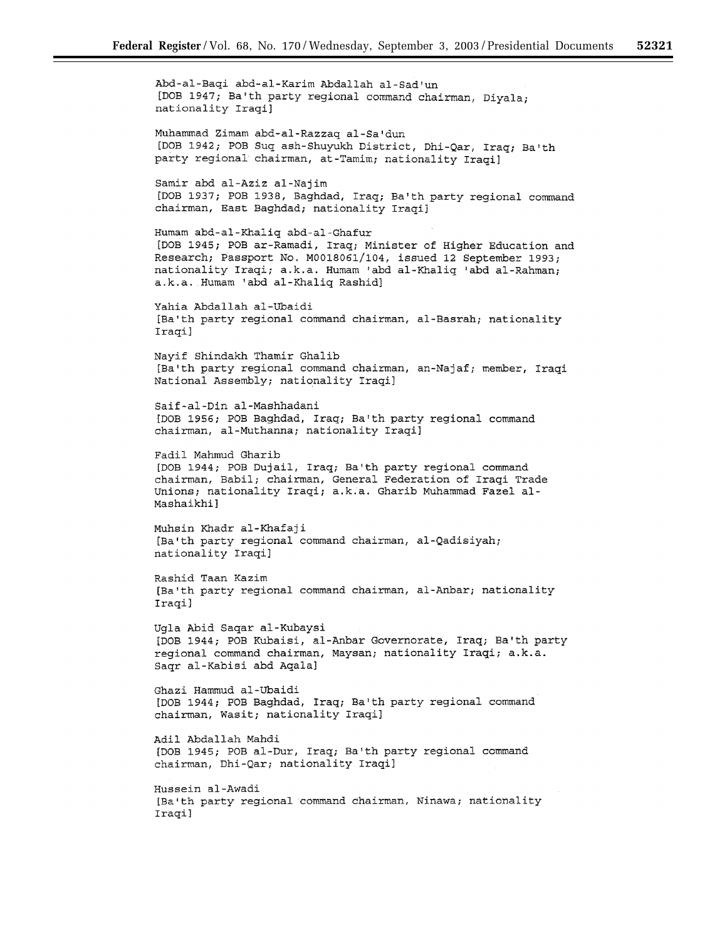Abd-al-Baqi abd-al-Karim Abdallah al-Sad'un [DOB 1947; Ba'th party regional command chairman, Diyala; nationality Iraqi] Muhammad Zimam abd-al-Razzaq al-Sa'dun [DOB 1942; POB Suq ash-Shuyukh District, Dhi-Qar, Iraq; Ba'th party regional chairman, at-Tamim; nationality Iraqi] Samir abd al-Aziz al-Najim [DOB 1937; POB 1938, Baghdad, Iraq; Ba'th party regional command chairman, East Baghdad; nationality Iraqi] Humam abd-al-Khaliq abd-al-Ghafur [DOB 1945; POB ar-Ramadi, Iraq; Minister of Higher Education and Research; Passport No. M0018061/104, issued 12 September 1993; nationality Iraqi; a.k.a. Humam 'abd al-Khaliq 'abd al-Rahman; a.k.a. Humam 'abd al-Khaliq Rashid] Yahia Abdallah al-Ubaidi [Ba'th party regional command chairman, al-Basrah; nationality Iraqi] Nayif Shindakh Thamir Ghalib [Ba'th party regional command chairman, an-Najaf; member, Iraqi National Assembly; nationality Iraqi] Saif-al-Din al-Mashhadani [DOB 1956; POB Baghdad, Iraq; Ba'th party regional command chairman, al-Muthanna; nationality Iraqi] Fadil Mahmud Gharib [DOB 1944; POB Dujail, Iraq; Ba'th party regional command chairman, Babil; chairman, General Federation of Iraqi Trade Unions; nationality Iraqi; a.k.a. Gharib Muhammad Fazel al-Mashaikhi] Muhsin Khadr al-Khafaji [Ba'th party regional command chairman, al-Qadisiyah; nationality Iraqi] Rashid Taan Kazim [Ba'th party regional command chairman, al-Anbar; nationality Iraqi] Ugla Abid Saqar al-Kubaysi [DOB 1944; POB Kubaisi, al-Anbar Governorate, Iraq; Ba'th party regional command chairman, Maysan; nationality Iraqi; a.k.a. Saqr al-Kabisi abd Aqala] Ghazi Hammud al-Ubaidi [DOB 1944; POB Baghdad, Iraq; Ba'th party regional command chairman, Wasit; nationality Iraqi] Adil Abdallah Mahdi [DOB 1945; POB al-Dur, Iraq; Ba'th party regional command chairman, Dhi-Qar; nationality Iraqi] Hussein al-Awadi [Ba'th party regional command chairman, Ninawa; nationality Iraqi]